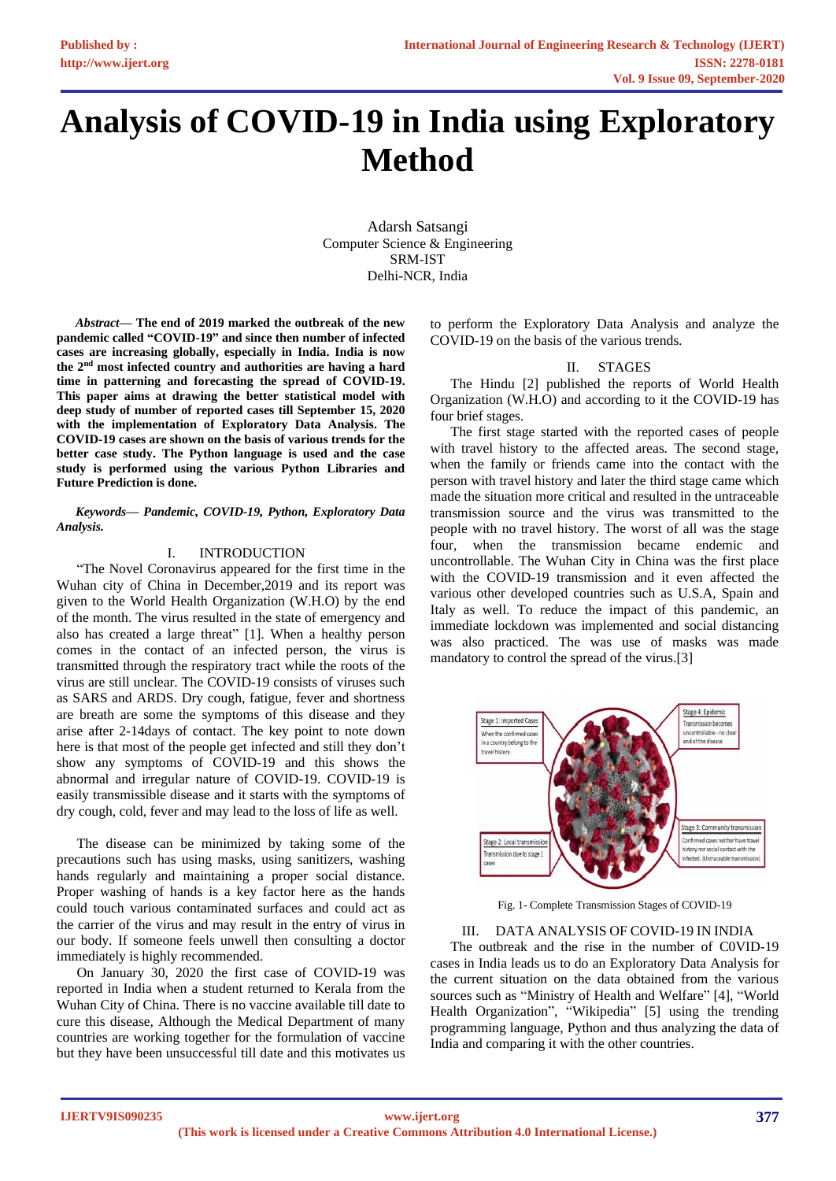# **Analysis of COVID-19 in India using Exploratory Method**

Adarsh Satsangi Computer Science & Engineering SRM-IST Delhi-NCR, India

*Abstract***— The end of 2019 marked the outbreak of the new pandemic called "COVID-19" and since then number of infected cases are increasing globally, especially in India. India is now the 2nd most infected country and authorities are having a hard time in patterning and forecasting the spread of COVID-19. This paper aims at drawing the better statistical model with deep study of number of reported cases till September 15, 2020 with the implementation of Exploratory Data Analysis. The COVID-19 cases are shown on the basis of various trends for the better case study. The Python language is used and the case study is performed using the various Python Libraries and Future Prediction is done.**

## *Keywords— Pandemic, COVID-19, Python, Exploratory Data Analysis.*

# I. INTRODUCTION

"The Novel Coronavirus appeared for the first time in the Wuhan city of China in December,2019 and its report was given to the World Health Organization (W.H.O) by the end of the month. The virus resulted in the state of emergency and also has created a large threat" [1]. When a healthy person comes in the contact of an infected person, the virus is transmitted through the respiratory tract while the roots of the virus are still unclear. The COVID-19 consists of viruses such as SARS and ARDS. Dry cough, fatigue, fever and shortness are breath are some the symptoms of this disease and they arise after 2-14days of contact. The key point to note down here is that most of the people get infected and still they don't show any symptoms of COVID-19 and this shows the abnormal and irregular nature of COVID-19. COVID-19 is easily transmissible disease and it starts with the symptoms of dry cough, cold, fever and may lead to the loss of life as well.

The disease can be minimized by taking some of the precautions such has using masks, using sanitizers, washing hands regularly and maintaining a proper social distance. Proper washing of hands is a key factor here as the hands could touch various contaminated surfaces and could act as the carrier of the virus and may result in the entry of virus in our body. If someone feels unwell then consulting a doctor immediately is highly recommended.

On January 30, 2020 the first case of COVID-19 was reported in India when a student returned to Kerala from the Wuhan City of China. There is no vaccine available till date to cure this disease, Although the Medical Department of many countries are working together for the formulation of vaccine but they have been unsuccessful till date and this motivates us to perform the Exploratory Data Analysis and analyze the COVID-19 on the basis of the various trends.

## II. STAGES

The Hindu [2] published the reports of World Health Organization (W.H.O) and according to it the COVID-19 has four brief stages.

The first stage started with the reported cases of people with travel history to the affected areas. The second stage, when the family or friends came into the contact with the person with travel history and later the third stage came which made the situation more critical and resulted in the untraceable transmission source and the virus was transmitted to the people with no travel history. The worst of all was the stage four, when the transmission became endemic and uncontrollable. The Wuhan City in China was the first place with the COVID-19 transmission and it even affected the various other developed countries such as U.S.A, Spain and Italy as well. To reduce the impact of this pandemic, an immediate lockdown was implemented and social distancing was also practiced. The was use of masks was made mandatory to control the spread of the virus.[3]



Fig. 1- Complete Transmission Stages of COVID-19

III. DATA ANALYSIS OF COVID-19 IN INDIA

The outbreak and the rise in the number of C0VID-19 cases in India leads us to do an Exploratory Data Analysis for the current situation on the data obtained from the various sources such as "Ministry of Health and Welfare" [4], "World Health Organization", "Wikipedia" [5] using the trending programming language, Python and thus analyzing the data of India and comparing it with the other countries.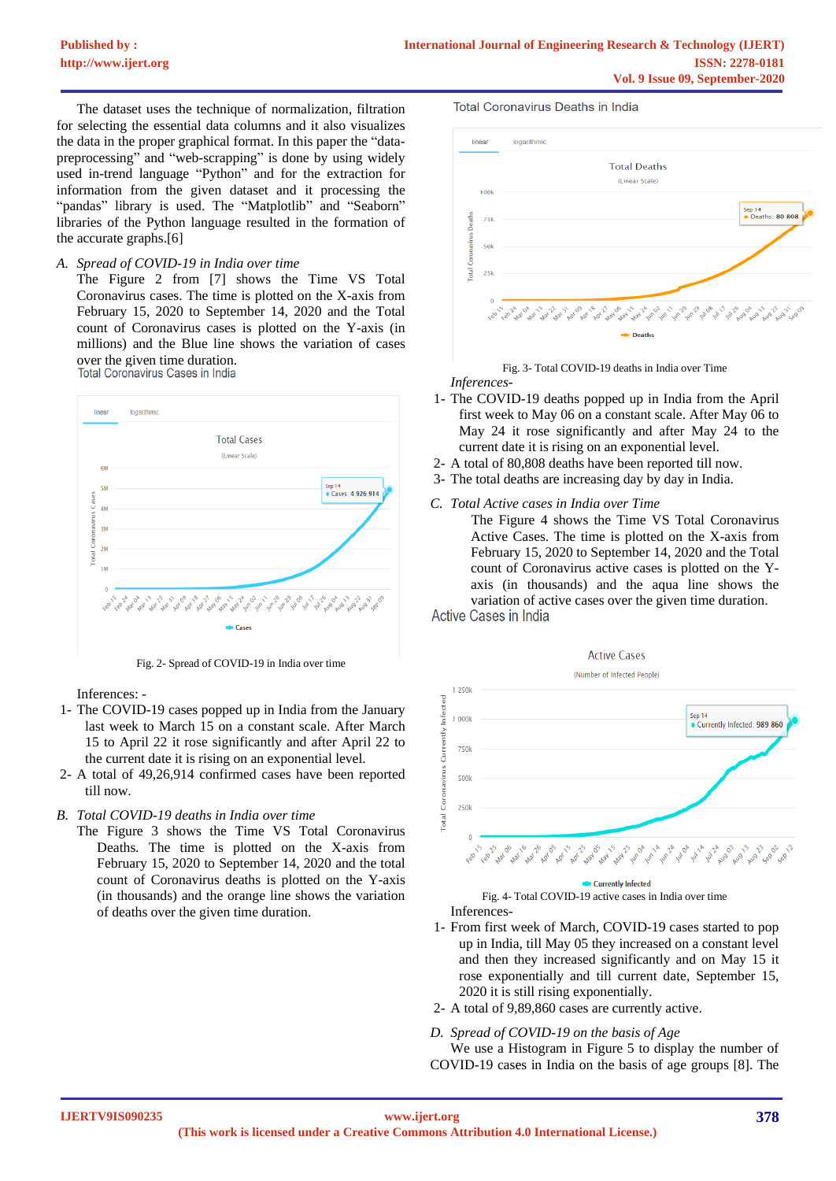The dataset uses the technique of normalization, filtration for selecting the essential data columns and it also visualizes the data in the proper graphical format. In this paper the "datapreprocessing" and "web-scrapping" is done by using widely used in-trend language "Python" and for the extraction for information from the given dataset and it processing the "pandas" library is used. The "Matplotlib" and "Seaborn" libraries of the Python language resulted in the formation of the accurate graphs.[6]

## *A. Spread of COVID-19 in India over time*

The Figure 2 from [7] shows the Time VS Total Coronavirus cases. The time is plotted on the X-axis from February 15, 2020 to September 14, 2020 and the Total count of Coronavirus cases is plotted on the Y-axis (in millions) and the Blue line shows the variation of cases over the given time duration.<br>Total Coronavirus Cases in India



Fig. 2- Spread of COVID-19 in India over time

Inferences: -

- 1- The COVID-19 cases popped up in India from the January last week to March 15 on a constant scale. After March 15 to April 22 it rose significantly and after April 22 to the current date it is rising on an exponential level.
- 2- A total of 49,26,914 confirmed cases have been reported till now.
- *B. Total COVID-19 deaths in India over time*
	- The Figure 3 shows the Time VS Total Coronavirus Deaths. The time is plotted on the X-axis from February 15, 2020 to September 14, 2020 and the total count of Coronavirus deaths is plotted on the Y-axis (in thousands) and the orange line shows the variation of deaths over the given time duration.

**Total Coronavirus Deaths in India** 



Fig. 3- Total COVID-19 deaths in India over Time *Inferences-*

- 1- The COVID-19 deaths popped up in India from the April first week to May 06 on a constant scale. After May 06 to May 24 it rose significantly and after May 24 to the current date it is rising on an exponential level.
- 2- A total of 80,808 deaths have been reported till now.
- 3- The total deaths are increasing day by day in India.





Fig. 4- Total COVID-19 active cases in India over time Inferences-

- 1- From first week of March, COVID-19 cases started to pop up in India, till May 05 they increased on a constant level and then they increased significantly and on May 15 it rose exponentially and till current date, September 15, 2020 it is still rising exponentially.
- 2- A total of 9,89,860 cases are currently active.

## *D. Spread of COVID-19 on the basis of Age*

We use a Histogram in Figure 5 to display the number of COVID-19 cases in India on the basis of age groups [8]. The

**IJERTV9IS090235**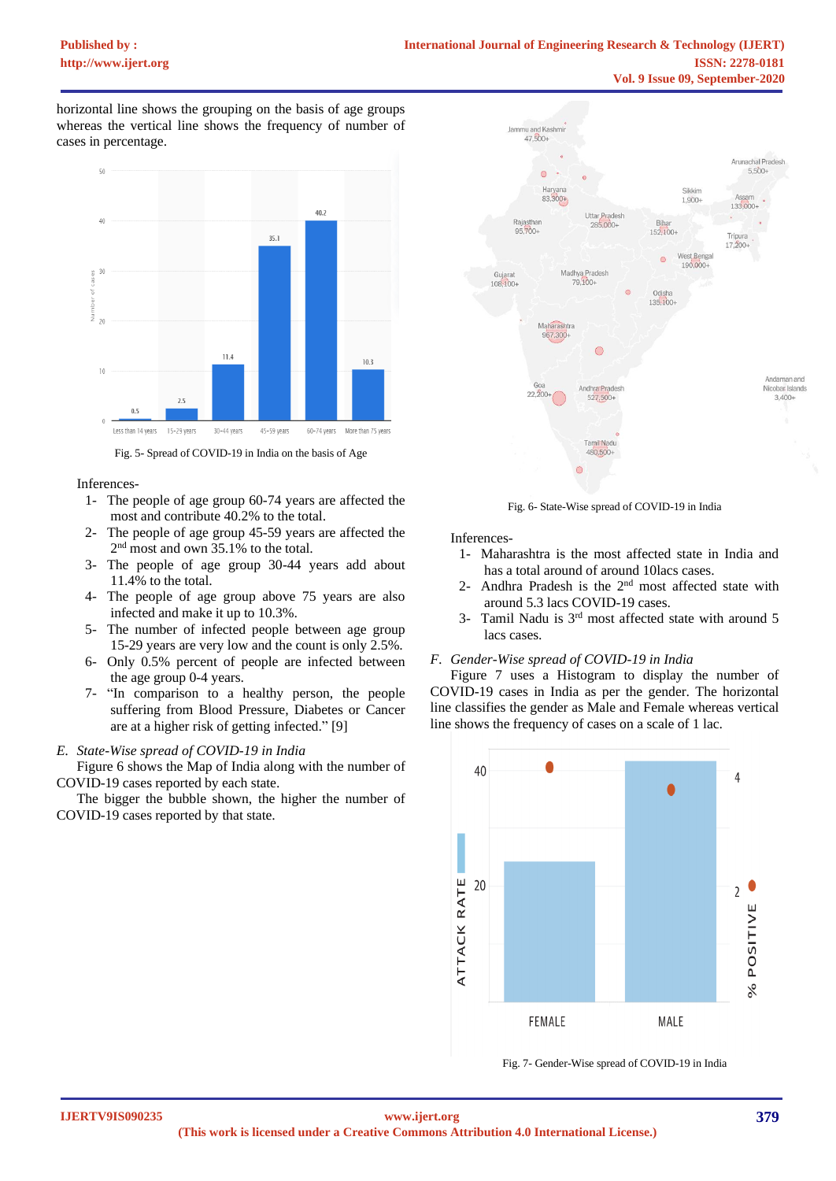horizontal line shows the grouping on the basis of age groups whereas the vertical line shows the frequency of number of cases in percentage.



Fig. 5- Spread of COVID-19 in India on the basis of Age

# Inferences-

- 1- The people of age group 60-74 years are affected the most and contribute 40.2% to the total.
- 2- The people of age group 45-59 years are affected the 2<sup>nd</sup> most and own 35.1% to the total.
- 3- The people of age group 30-44 years add about 11.4% to the total.
- 4- The people of age group above 75 years are also infected and make it up to 10.3%.
- 5- The number of infected people between age group 15-29 years are very low and the count is only 2.5%.
- 6- Only 0.5% percent of people are infected between the age group 0-4 years.
- 7- "In comparison to a healthy person, the people suffering from Blood Pressure, Diabetes or Cancer are at a higher risk of getting infected." [9]

# *E. State-Wise spread of COVID-19 in India*

Figure 6 shows the Map of India along with the number of COVID-19 cases reported by each state.

The bigger the bubble shown, the higher the number of COVID-19 cases reported by that state.



Fig. 6- State-Wise spread of COVID-19 in India

Inferences-

- 1- Maharashtra is the most affected state in India and has a total around of around 10lacs cases.
- 2- Andhra Pradesh is the 2nd most affected state with around 5.3 lacs COVID-19 cases.
- 3- Tamil Nadu is 3rd most affected state with around 5 lacs cases.

# *F. Gender-Wise spread of COVID-19 in India*

Figure 7 uses a Histogram to display the number of COVID-19 cases in India as per the gender. The horizontal line classifies the gender as Male and Female whereas vertical line shows the frequency of cases on a scale of 1 lac.



Fig. 7- Gender-Wise spread of COVID-19 in India